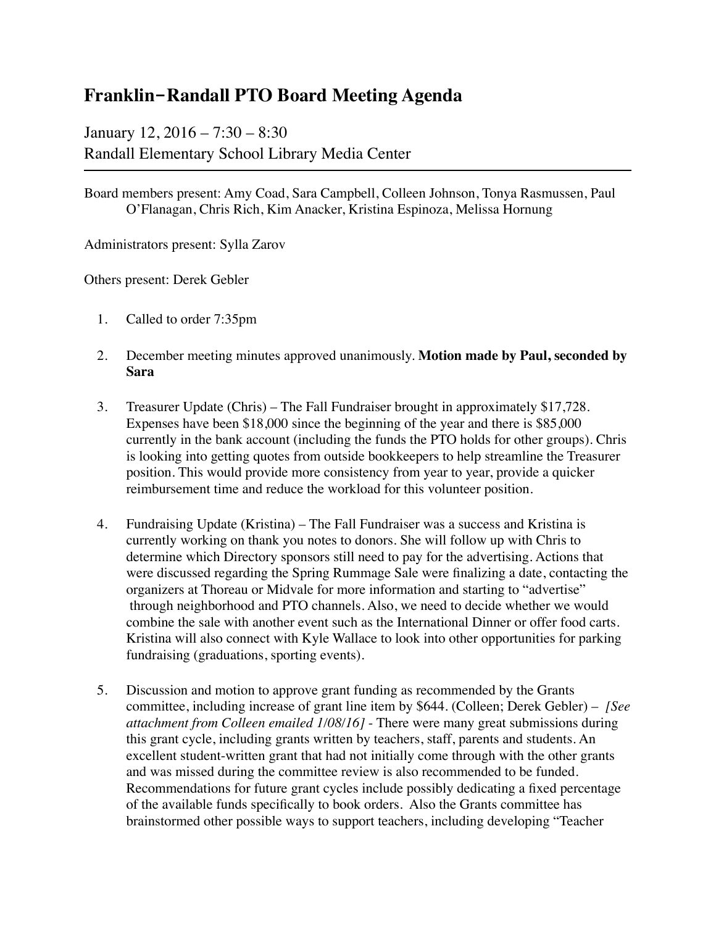## **Franklin-Randall PTO Board Meeting Agenda**

January 12, 2016 – 7:30 – 8:30 Randall Elementary School Library Media Center

Board members present: Amy Coad, Sara Campbell, Colleen Johnson, Tonya Rasmussen, Paul O'Flanagan, Chris Rich, Kim Anacker, Kristina Espinoza, Melissa Hornung

Administrators present: Sylla Zarov

Others present: Derek Gebler

- 1. Called to order 7:35pm
- 2. December meeting minutes approved unanimously. **Motion made by Paul, seconded by Sara**
- 3. Treasurer Update (Chris) The Fall Fundraiser brought in approximately \$17,728. Expenses have been \$18,000 since the beginning of the year and there is \$85,000 currently in the bank account (including the funds the PTO holds for other groups). Chris is looking into getting quotes from outside bookkeepers to help streamline the Treasurer position. This would provide more consistency from year to year, provide a quicker reimbursement time and reduce the workload for this volunteer position.
- 4. Fundraising Update (Kristina) The Fall Fundraiser was a success and Kristina is currently working on thank you notes to donors. She will follow up with Chris to determine which Directory sponsors still need to pay for the advertising. Actions that were discussed regarding the Spring Rummage Sale were finalizing a date, contacting the organizers at Thoreau or Midvale for more information and starting to "advertise" through neighborhood and PTO channels. Also, we need to decide whether we would combine the sale with another event such as the International Dinner or offer food carts. Kristina will also connect with Kyle Wallace to look into other opportunities for parking fundraising (graduations, sporting events).
- 5. Discussion and motion to approve grant funding as recommended by the Grants committee, including increase of grant line item by \$644. (Colleen; Derek Gebler) – *[See attachment from Colleen emailed 1/08/16]* - There were many great submissions during this grant cycle, including grants written by teachers, staff, parents and students. An excellent student-written grant that had not initially come through with the other grants and was missed during the committee review is also recommended to be funded. Recommendations for future grant cycles include possibly dedicating a fixed percentage of the available funds specifically to book orders. Also the Grants committee has brainstormed other possible ways to support teachers, including developing "Teacher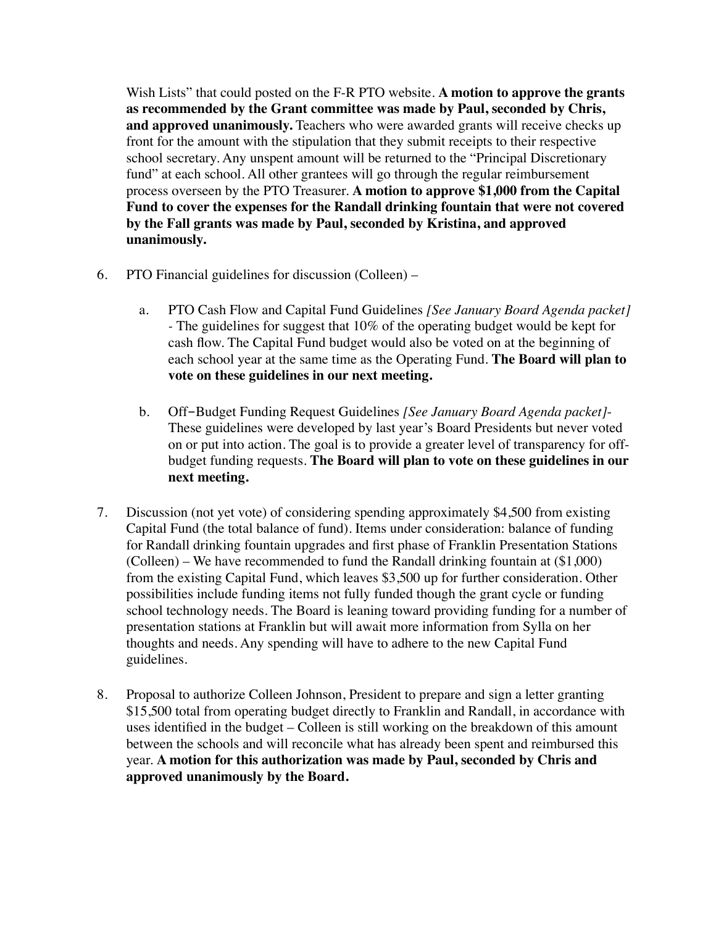Wish Lists" that could posted on the F-R PTO website. **A motion to approve the grants as recommended by the Grant committee was made by Paul, seconded by Chris, and approved unanimously.** Teachers who were awarded grants will receive checks up front for the amount with the stipulation that they submit receipts to their respective school secretary. Any unspent amount will be returned to the "Principal Discretionary fund" at each school. All other grantees will go through the regular reimbursement process overseen by the PTO Treasurer. **A motion to approve \$1,000 from the Capital Fund to cover the expenses for the Randall drinking fountain that were not covered by the Fall grants was made by Paul, seconded by Kristina, and approved unanimously.**

- 6. PTO Financial guidelines for discussion (Colleen)
	- a. PTO Cash Flow and Capital Fund Guidelines *[See January Board Agenda packet] -* The guidelines for suggest that 10% of the operating budget would be kept for cash flow. The Capital Fund budget would also be voted on at the beginning of each school year at the same time as the Operating Fund. **The Board will plan to vote on these guidelines in our next meeting.**
	- b. Off-Budget Funding Request Guidelines *[See January Board Agenda packet]* These guidelines were developed by last year's Board Presidents but never voted on or put into action. The goal is to provide a greater level of transparency for offbudget funding requests. **The Board will plan to vote on these guidelines in our next meeting.**
- 7. Discussion (not yet vote) of considering spending approximately \$4,500 from existing Capital Fund (the total balance of fund). Items under consideration: balance of funding for Randall drinking fountain upgrades and first phase of Franklin Presentation Stations (Colleen) – We have recommended to fund the Randall drinking fountain at (\$1,000) from the existing Capital Fund, which leaves \$3,500 up for further consideration. Other possibilities include funding items not fully funded though the grant cycle or funding school technology needs. The Board is leaning toward providing funding for a number of presentation stations at Franklin but will await more information from Sylla on her thoughts and needs. Any spending will have to adhere to the new Capital Fund guidelines.
- 8. Proposal to authorize Colleen Johnson, President to prepare and sign a letter granting \$15,500 total from operating budget directly to Franklin and Randall, in accordance with uses identified in the budget – Colleen is still working on the breakdown of this amount between the schools and will reconcile what has already been spent and reimbursed this year. **A motion for this authorization was made by Paul, seconded by Chris and approved unanimously by the Board.**